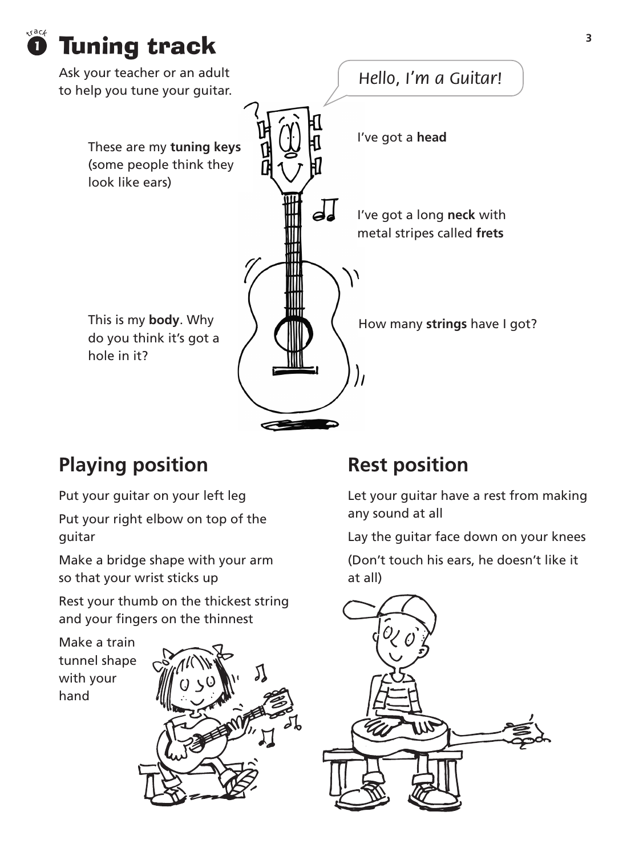



### **Playing position**

Put your guitar on your left leg

Put your right elbow on top of the guitar

Make a bridge shape with your arm so that your wrist sticks up

Rest your thumb on the thickest string and your fingers on the thinnest





#### **Rest position**

Let your guitar have a rest from making any sound at all

Lay the guitar face down on your knees

(Don't touch his ears, he doesn't like it at all)

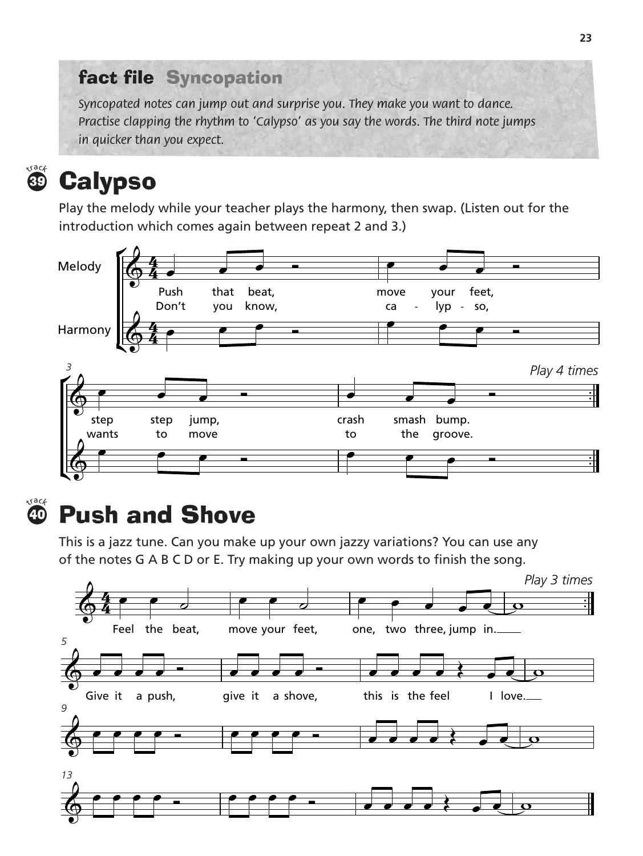#### fact file Syncopation

*Syncopated notes can jump out and surprise you. They make you want to dance. Practise clapping the rhythm to 'Calypso' as you say the words. The third note jumps in quicker than you expect.*



## **<sup>39</sup> Calypso**

Play the melody while your teacher plays the harmony, then swap. (Listen out for the introduction which comes again between repeat 2 and 3.)



 $40<sup>4</sup>$ 

# **Push and Shove**

This is a jazz tune. Can you make up your own jazzy variations? You can use any of the notes G A B C D or E. Try making up your own words to finish the song.